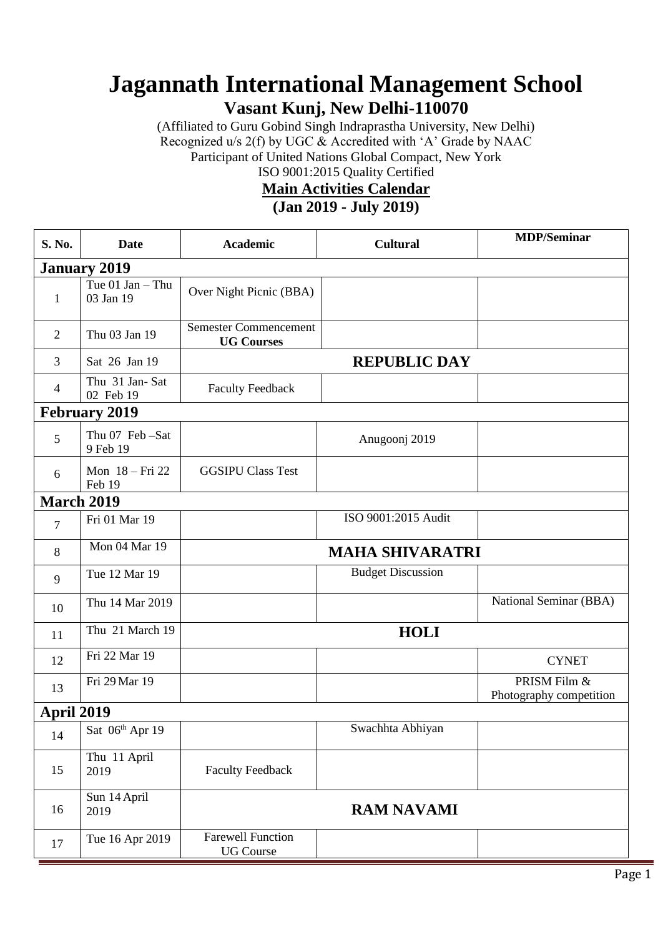## **Jagannath International Management School**

**Vasant Kunj, New Delhi-110070**

(Affiliated to Guru Gobind Singh Indraprastha University, New Delhi) Recognized u/s 2(f) by UGC & Accredited with 'A' Grade by NAAC Participant of United Nations Global Compact, New York ISO 9001:2015 Quality Certified

## **Main Activities Calendar**

## **(Jan 2019 - July 2019)**

| S. No.               | <b>Date</b>                     | <b>Academic</b>                                   | <b>Cultural</b>          | <b>MDP/Seminar</b>                      |  |  |  |
|----------------------|---------------------------------|---------------------------------------------------|--------------------------|-----------------------------------------|--|--|--|
| <b>January 2019</b>  |                                 |                                                   |                          |                                         |  |  |  |
| $\mathbf{1}$         | Tue $01$ Jan - Thu<br>03 Jan 19 | Over Night Picnic (BBA)                           |                          |                                         |  |  |  |
| $\overline{2}$       | Thu 03 Jan 19                   | <b>Semester Commencement</b><br><b>UG Courses</b> |                          |                                         |  |  |  |
| 3                    | Sat 26 Jan 19                   | <b>REPUBLIC DAY</b>                               |                          |                                         |  |  |  |
| $\overline{4}$       | Thu 31 Jan-Sat<br>02 Feb 19     | <b>Faculty Feedback</b>                           |                          |                                         |  |  |  |
| <b>February 2019</b> |                                 |                                                   |                          |                                         |  |  |  |
| 5                    | Thu 07 Feb -Sat<br>9 Feb 19     |                                                   | Anugoonj 2019            |                                         |  |  |  |
| 6                    | Mon 18 - Fri 22<br>Feb 19       | <b>GGSIPU Class Test</b>                          |                          |                                         |  |  |  |
| <b>March 2019</b>    |                                 |                                                   |                          |                                         |  |  |  |
| $\overline{7}$       | Fri 01 Mar 19                   |                                                   | ISO 9001:2015 Audit      |                                         |  |  |  |
| 8                    | Mon 04 Mar 19                   | <b>MAHA SHIVARATRI</b>                            |                          |                                         |  |  |  |
| 9                    | Tue 12 Mar 19                   |                                                   | <b>Budget Discussion</b> |                                         |  |  |  |
| 10                   | Thu 14 Mar 2019                 |                                                   |                          | National Seminar (BBA)                  |  |  |  |
| 11                   | Thu 21 March 19                 | <b>HOLI</b>                                       |                          |                                         |  |  |  |
| 12                   | Fri 22 Mar 19                   |                                                   |                          | <b>CYNET</b>                            |  |  |  |
| 13                   | Fri 29 Mar 19                   |                                                   |                          | PRISM Film &<br>Photography competition |  |  |  |
| <b>April 2019</b>    |                                 |                                                   |                          |                                         |  |  |  |
| 14                   | Sat $06th$ Apr 19               |                                                   | Swachhta Abhiyan         |                                         |  |  |  |
| 15                   | Thu 11 April<br>2019            | <b>Faculty Feedback</b>                           |                          |                                         |  |  |  |
| 16                   | Sun 14 April<br>2019            | <b>RAM NAVAMI</b>                                 |                          |                                         |  |  |  |
| 17                   | Tue 16 Apr 2019                 | <b>Farewell Function</b><br><b>UG</b> Course      |                          |                                         |  |  |  |